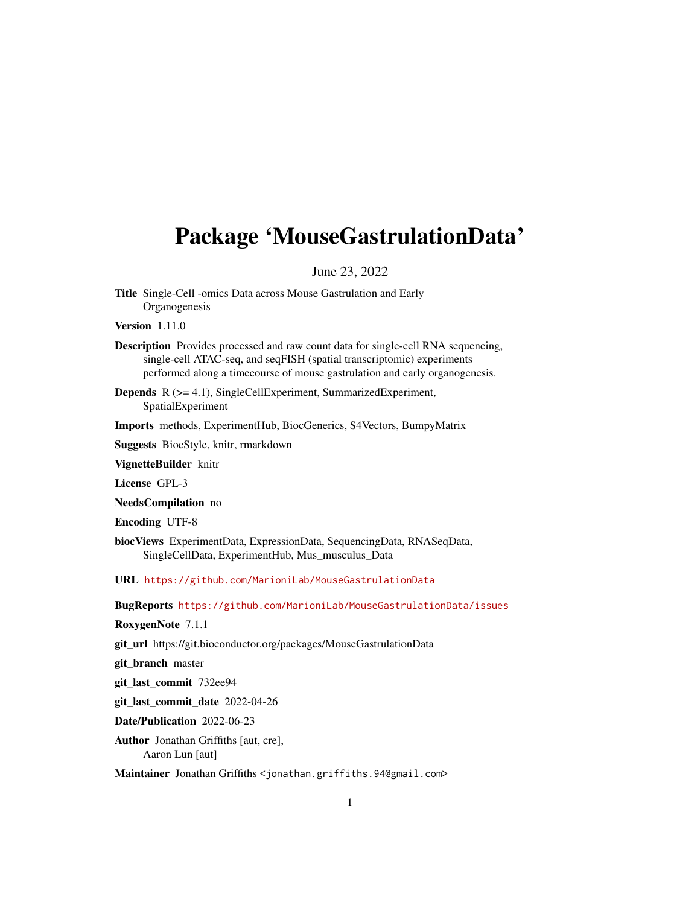## <span id="page-0-0"></span>Package 'MouseGastrulationData'

June 23, 2022

Title Single-Cell -omics Data across Mouse Gastrulation and Early **Organogenesis** 

Version 1.11.0

- Description Provides processed and raw count data for single-cell RNA sequencing, single-cell ATAC-seq, and seqFISH (spatial transcriptomic) experiments performed along a timecourse of mouse gastrulation and early organogenesis.
- Depends R (>= 4.1), SingleCellExperiment, SummarizedExperiment, SpatialExperiment

Imports methods, ExperimentHub, BiocGenerics, S4Vectors, BumpyMatrix

Suggests BiocStyle, knitr, rmarkdown

VignetteBuilder knitr

License GPL-3

NeedsCompilation no

Encoding UTF-8

biocViews ExperimentData, ExpressionData, SequencingData, RNASeqData, SingleCellData, ExperimentHub, Mus\_musculus\_Data

URL <https://github.com/MarioniLab/MouseGastrulationData>

BugReports <https://github.com/MarioniLab/MouseGastrulationData/issues>

RoxygenNote 7.1.1

git\_url https://git.bioconductor.org/packages/MouseGastrulationData

git branch master

git\_last\_commit 732ee94

git\_last\_commit\_date 2022-04-26

Date/Publication 2022-06-23

Author Jonathan Griffiths [aut, cre], Aaron Lun [aut]

Maintainer Jonathan Griffiths <jonathan.griffiths.94@gmail.com>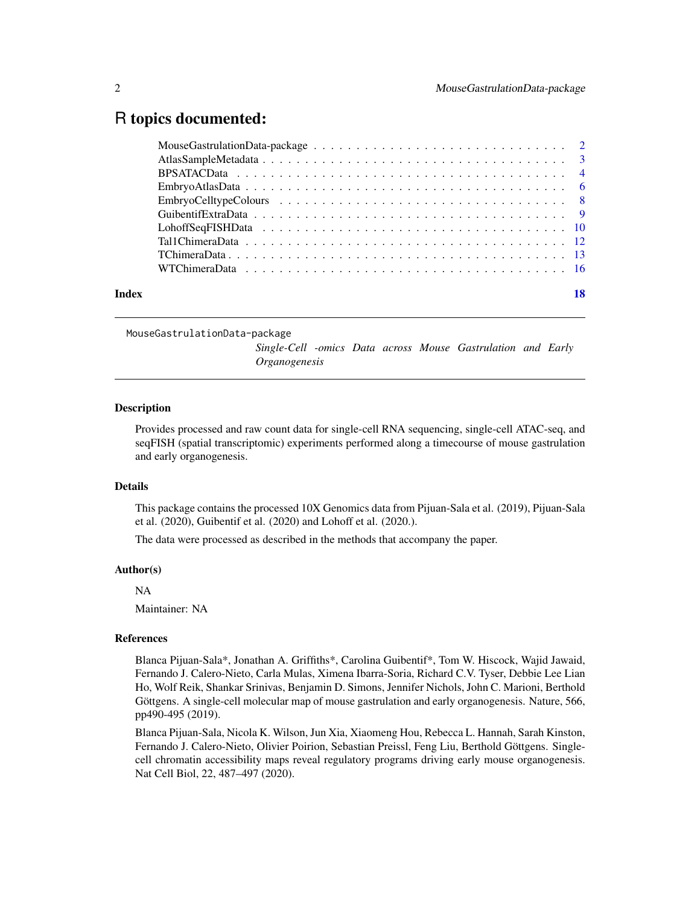### <span id="page-1-0"></span>R topics documented:

| Index |  |
|-------|--|

MouseGastrulationData-package

*Single-Cell -omics Data across Mouse Gastrulation and Early Organogenesis*

#### **Description**

Provides processed and raw count data for single-cell RNA sequencing, single-cell ATAC-seq, and seqFISH (spatial transcriptomic) experiments performed along a timecourse of mouse gastrulation and early organogenesis.

#### Details

This package contains the processed 10X Genomics data from Pijuan-Sala et al. (2019), Pijuan-Sala et al. (2020), Guibentif et al. (2020) and Lohoff et al. (2020.).

The data were processed as described in the methods that accompany the paper.

#### Author(s)

NA

Maintainer: NA

#### References

Blanca Pijuan-Sala\*, Jonathan A. Griffiths\*, Carolina Guibentif\*, Tom W. Hiscock, Wajid Jawaid, Fernando J. Calero-Nieto, Carla Mulas, Ximena Ibarra-Soria, Richard C.V. Tyser, Debbie Lee Lian Ho, Wolf Reik, Shankar Srinivas, Benjamin D. Simons, Jennifer Nichols, John C. Marioni, Berthold Göttgens. A single-cell molecular map of mouse gastrulation and early organogenesis. Nature, 566, pp490-495 (2019).

Blanca Pijuan-Sala, Nicola K. Wilson, Jun Xia, Xiaomeng Hou, Rebecca L. Hannah, Sarah Kinston, Fernando J. Calero-Nieto, Olivier Poirion, Sebastian Preissl, Feng Liu, Berthold Göttgens. Singlecell chromatin accessibility maps reveal regulatory programs driving early mouse organogenesis. Nat Cell Biol, 22, 487–497 (2020).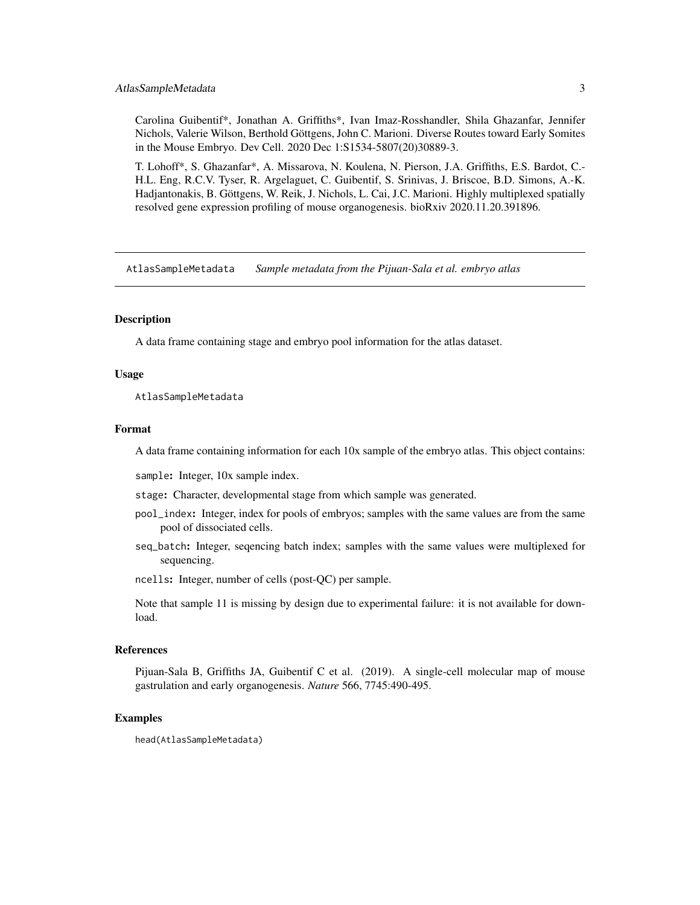#### <span id="page-2-0"></span>AtlasSampleMetadata 3

Carolina Guibentif\*, Jonathan A. Griffiths\*, Ivan Imaz-Rosshandler, Shila Ghazanfar, Jennifer Nichols, Valerie Wilson, Berthold Göttgens, John C. Marioni. Diverse Routes toward Early Somites in the Mouse Embryo. Dev Cell. 2020 Dec 1:S1534-5807(20)30889-3.

T. Lohoff\*, S. Ghazanfar\*, A. Missarova, N. Koulena, N. Pierson, J.A. Griffiths, E.S. Bardot, C.- H.L. Eng, R.C.V. Tyser, R. Argelaguet, C. Guibentif, S. Srinivas, J. Briscoe, B.D. Simons, A.-K. Hadjantonakis, B. Göttgens, W. Reik, J. Nichols, L. Cai, J.C. Marioni. Highly multiplexed spatially resolved gene expression profiling of mouse organogenesis. bioRxiv 2020.11.20.391896.

AtlasSampleMetadata *Sample metadata from the Pijuan-Sala et al. embryo atlas*

#### **Description**

A data frame containing stage and embryo pool information for the atlas dataset.

#### Usage

AtlasSampleMetadata

#### Format

A data frame containing information for each 10x sample of the embryo atlas. This object contains:

sample: Integer, 10x sample index.

stage: Character, developmental stage from which sample was generated.

- pool\_index: Integer, index for pools of embryos; samples with the same values are from the same pool of dissociated cells.
- seq\_batch: Integer, seqencing batch index; samples with the same values were multiplexed for sequencing.
- ncells: Integer, number of cells (post-QC) per sample.

Note that sample 11 is missing by design due to experimental failure: it is not available for download.

#### References

Pijuan-Sala B, Griffiths JA, Guibentif C et al. (2019). A single-cell molecular map of mouse gastrulation and early organogenesis. *Nature* 566, 7745:490-495.

#### Examples

head(AtlasSampleMetadata)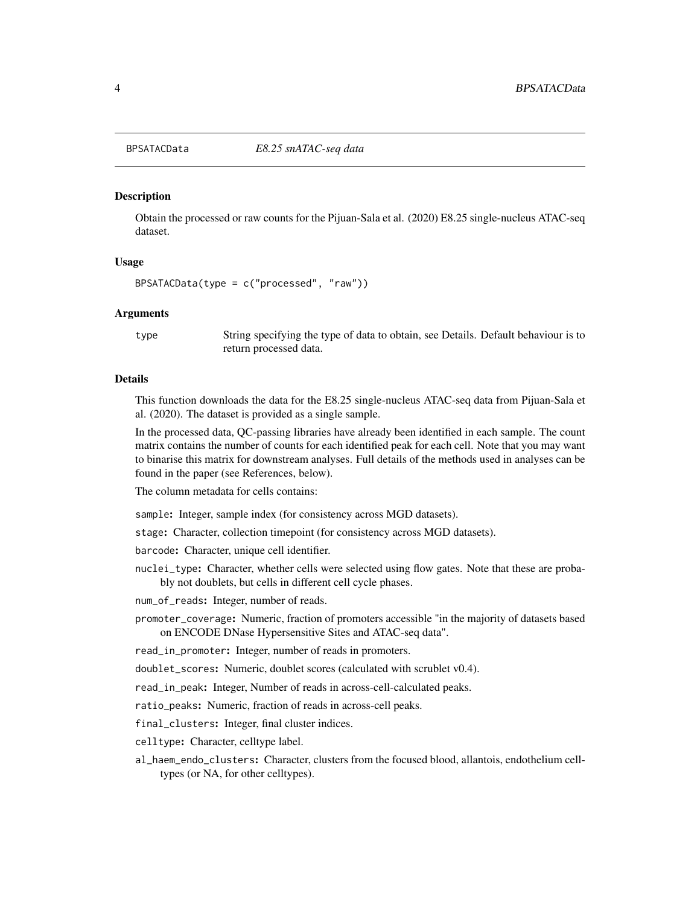<span id="page-3-0"></span>

#### Description

Obtain the processed or raw counts for the Pijuan-Sala et al. (2020) E8.25 single-nucleus ATAC-seq dataset.

#### Usage

BPSATACData(type = c("processed", "raw"))

#### Arguments

type String specifying the type of data to obtain, see Details. Default behaviour is to return processed data.

#### Details

This function downloads the data for the E8.25 single-nucleus ATAC-seq data from Pijuan-Sala et al. (2020). The dataset is provided as a single sample.

In the processed data, QC-passing libraries have already been identified in each sample. The count matrix contains the number of counts for each identified peak for each cell. Note that you may want to binarise this matrix for downstream analyses. Full details of the methods used in analyses can be found in the paper (see References, below).

The column metadata for cells contains:

sample: Integer, sample index (for consistency across MGD datasets).

stage: Character, collection timepoint (for consistency across MGD datasets).

barcode: Character, unique cell identifier.

nuclei\_type: Character, whether cells were selected using flow gates. Note that these are probably not doublets, but cells in different cell cycle phases.

num\_of\_reads: Integer, number of reads.

promoter\_coverage: Numeric, fraction of promoters accessible "in the majority of datasets based on ENCODE DNase Hypersensitive Sites and ATAC-seq data".

read\_in\_promoter: Integer, number of reads in promoters.

doublet\_scores: Numeric, doublet scores (calculated with scrublet v0.4).

read\_in\_peak: Integer, Number of reads in across-cell-calculated peaks.

ratio\_peaks: Numeric, fraction of reads in across-cell peaks.

final\_clusters: Integer, final cluster indices.

celltype: Character, celltype label.

al\_haem\_endo\_clusters: Character, clusters from the focused blood, allantois, endothelium celltypes (or NA, for other celltypes).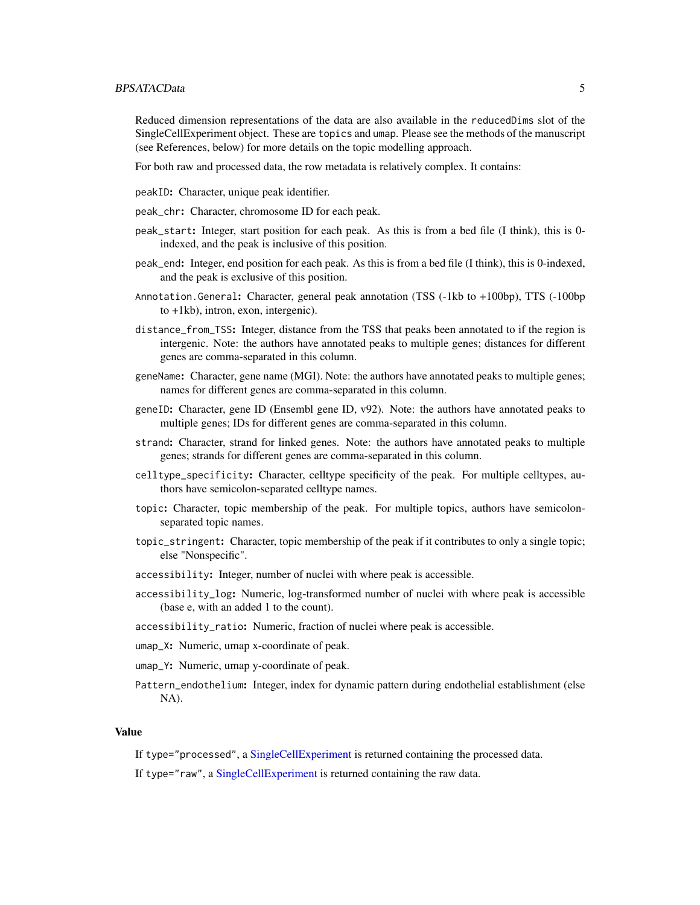#### <span id="page-4-0"></span>BPSATACData 5

Reduced dimension representations of the data are also available in the reducedDims slot of the SingleCellExperiment object. These are topics and umap. Please see the methods of the manuscript (see References, below) for more details on the topic modelling approach.

For both raw and processed data, the row metadata is relatively complex. It contains:

peakID: Character, unique peak identifier.

peak\_chr: Character, chromosome ID for each peak.

- peak\_start: Integer, start position for each peak. As this is from a bed file (I think), this is 0 indexed, and the peak is inclusive of this position.
- peak\_end: Integer, end position for each peak. As this is from a bed file (I think), this is 0-indexed, and the peak is exclusive of this position.
- Annotation.General: Character, general peak annotation (TSS (-1kb to +100bp), TTS (-100bp to +1kb), intron, exon, intergenic).
- distance\_from\_TSS: Integer, distance from the TSS that peaks been annotated to if the region is intergenic. Note: the authors have annotated peaks to multiple genes; distances for different genes are comma-separated in this column.
- geneName: Character, gene name (MGI). Note: the authors have annotated peaks to multiple genes; names for different genes are comma-separated in this column.
- geneID: Character, gene ID (Ensembl gene ID, v92). Note: the authors have annotated peaks to multiple genes; IDs for different genes are comma-separated in this column.
- strand: Character, strand for linked genes. Note: the authors have annotated peaks to multiple genes; strands for different genes are comma-separated in this column.
- celltype\_specificity: Character, celltype specificity of the peak. For multiple celltypes, authors have semicolon-separated celltype names.
- topic: Character, topic membership of the peak. For multiple topics, authors have semicolonseparated topic names.
- topic\_stringent: Character, topic membership of the peak if it contributes to only a single topic; else "Nonspecific".
- accessibility: Integer, number of nuclei with where peak is accessible.
- accessibility\_log: Numeric, log-transformed number of nuclei with where peak is accessible (base e, with an added 1 to the count).
- accessibility\_ratio: Numeric, fraction of nuclei where peak is accessible.
- umap\_X: Numeric, umap x-coordinate of peak.
- umap\_Y: Numeric, umap y-coordinate of peak.
- Pattern\_endothelium: Integer, index for dynamic pattern during endothelial establishment (else NA).

#### Value

If type="processed", a [SingleCellExperiment](#page-0-0) is returned containing the processed data.

If type="raw", a [SingleCellExperiment](#page-0-0) is returned containing the raw data.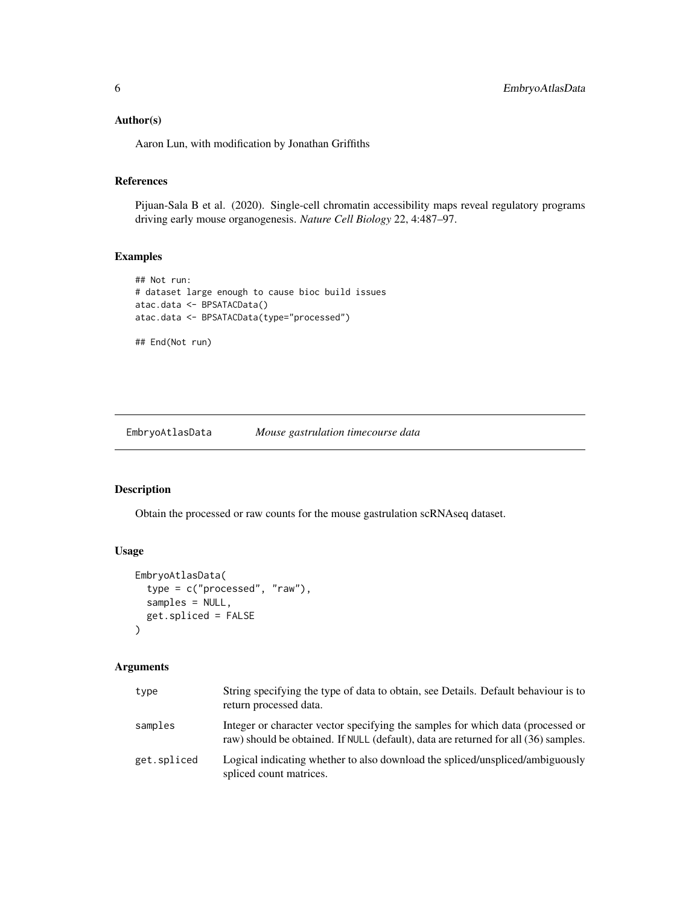#### <span id="page-5-0"></span>Author(s)

Aaron Lun, with modification by Jonathan Griffiths

#### References

Pijuan-Sala B et al. (2020). Single-cell chromatin accessibility maps reveal regulatory programs driving early mouse organogenesis. *Nature Cell Biology* 22, 4:487–97.

#### Examples

```
## Not run:
# dataset large enough to cause bioc build issues
atac.data <- BPSATACData()
atac.data <- BPSATACData(type="processed")
```
## End(Not run)

<span id="page-5-1"></span>EmbryoAtlasData *Mouse gastrulation timecourse data*

#### Description

Obtain the processed or raw counts for the mouse gastrulation scRNAseq dataset.

#### Usage

```
EmbryoAtlasData(
  type = c("processed", "raw"),
  samples = NULL,
  get.spliced = FALSE
\mathcal{L}
```
#### Arguments

| type        | String specifying the type of data to obtain, see Details. Default behaviour is to<br>return processed data.                                                           |
|-------------|------------------------------------------------------------------------------------------------------------------------------------------------------------------------|
| samples     | Integer or character vector specifying the samples for which data (processed or<br>raw) should be obtained. If NULL (default), data are returned for all (36) samples. |
| get.spliced | Logical indicating whether to also download the spliced/unspliced/ambiguously<br>spliced count matrices.                                                               |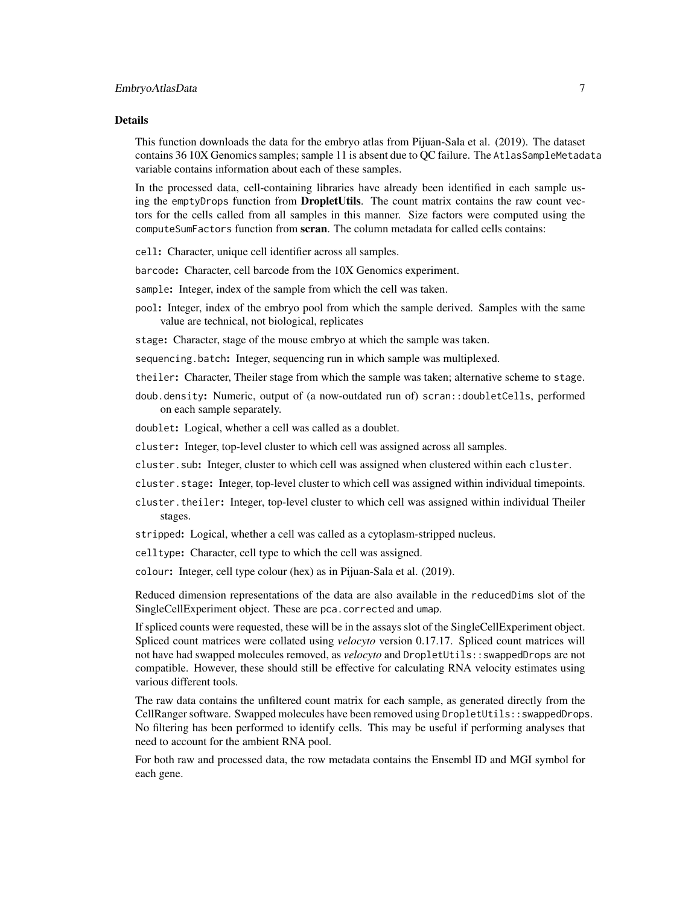#### Details

This function downloads the data for the embryo atlas from Pijuan-Sala et al. (2019). The dataset contains 36 10X Genomics samples; sample 11 is absent due to QC failure. The AtlasSampleMetadata variable contains information about each of these samples.

In the processed data, cell-containing libraries have already been identified in each sample using the emptyDrops function from DropletUtils. The count matrix contains the raw count vectors for the cells called from all samples in this manner. Size factors were computed using the computeSumFactors function from scran. The column metadata for called cells contains:

cell: Character, unique cell identifier across all samples.

barcode: Character, cell barcode from the 10X Genomics experiment.

sample: Integer, index of the sample from which the cell was taken.

pool: Integer, index of the embryo pool from which the sample derived. Samples with the same value are technical, not biological, replicates

stage: Character, stage of the mouse embryo at which the sample was taken.

sequencing.batch: Integer, sequencing run in which sample was multiplexed.

- theiler: Character, Theiler stage from which the sample was taken; alternative scheme to stage.
- doub.density: Numeric, output of (a now-outdated run of) scran::doubletCells, performed on each sample separately.

doublet: Logical, whether a cell was called as a doublet.

- cluster: Integer, top-level cluster to which cell was assigned across all samples.
- cluster.sub: Integer, cluster to which cell was assigned when clustered within each cluster.
- cluster.stage: Integer, top-level cluster to which cell was assigned within individual timepoints.
- cluster.theiler: Integer, top-level cluster to which cell was assigned within individual Theiler stages.
- stripped: Logical, whether a cell was called as a cytoplasm-stripped nucleus.
- celltype: Character, cell type to which the cell was assigned.

colour: Integer, cell type colour (hex) as in Pijuan-Sala et al. (2019).

Reduced dimension representations of the data are also available in the reducedDims slot of the SingleCellExperiment object. These are pca.corrected and umap.

If spliced counts were requested, these will be in the assays slot of the SingleCellExperiment object. Spliced count matrices were collated using *velocyto* version 0.17.17. Spliced count matrices will not have had swapped molecules removed, as *velocyto* and DropletUtils::swappedDrops are not compatible. However, these should still be effective for calculating RNA velocity estimates using various different tools.

The raw data contains the unfiltered count matrix for each sample, as generated directly from the CellRanger software. Swapped molecules have been removed using DropletUtils::swappedDrops. No filtering has been performed to identify cells. This may be useful if performing analyses that need to account for the ambient RNA pool.

For both raw and processed data, the row metadata contains the Ensembl ID and MGI symbol for each gene.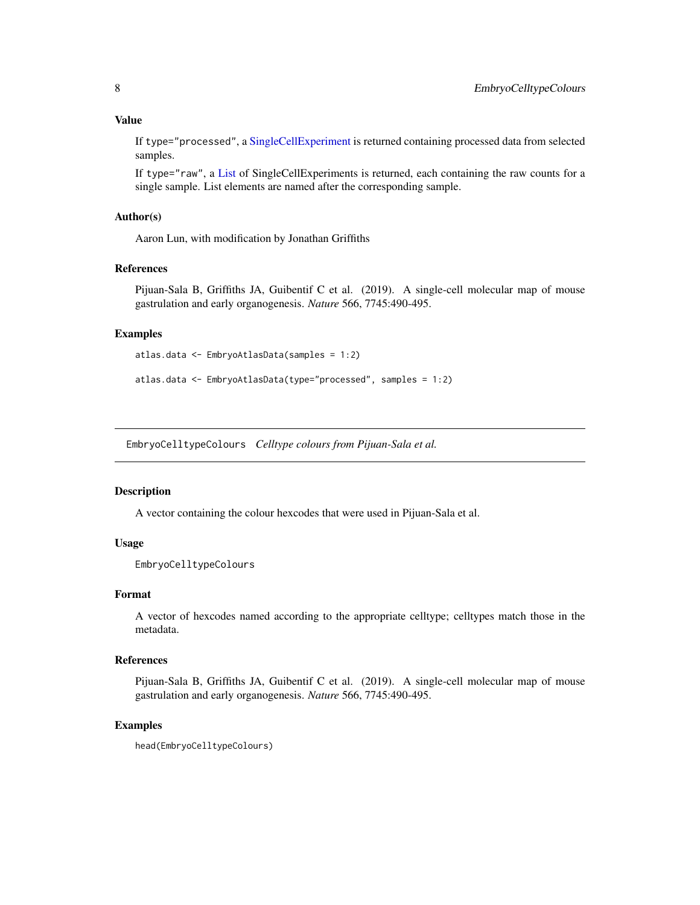#### <span id="page-7-0"></span>Value

If type="processed", a [SingleCellExperiment](#page-0-0) is returned containing processed data from selected samples.

If type="raw", a [List](#page-0-0) of SingleCellExperiments is returned, each containing the raw counts for a single sample. List elements are named after the corresponding sample.

#### Author(s)

Aaron Lun, with modification by Jonathan Griffiths

#### References

Pijuan-Sala B, Griffiths JA, Guibentif C et al. (2019). A single-cell molecular map of mouse gastrulation and early organogenesis. *Nature* 566, 7745:490-495.

#### Examples

```
atlas.data <- EmbryoAtlasData(samples = 1:2)
```

```
atlas.data <- EmbryoAtlasData(type="processed", samples = 1:2)
```
EmbryoCelltypeColours *Celltype colours from Pijuan-Sala et al.*

#### Description

A vector containing the colour hexcodes that were used in Pijuan-Sala et al.

#### Usage

```
EmbryoCelltypeColours
```
#### Format

A vector of hexcodes named according to the appropriate celltype; celltypes match those in the metadata.

#### References

Pijuan-Sala B, Griffiths JA, Guibentif C et al. (2019). A single-cell molecular map of mouse gastrulation and early organogenesis. *Nature* 566, 7745:490-495.

#### Examples

```
head(EmbryoCelltypeColours)
```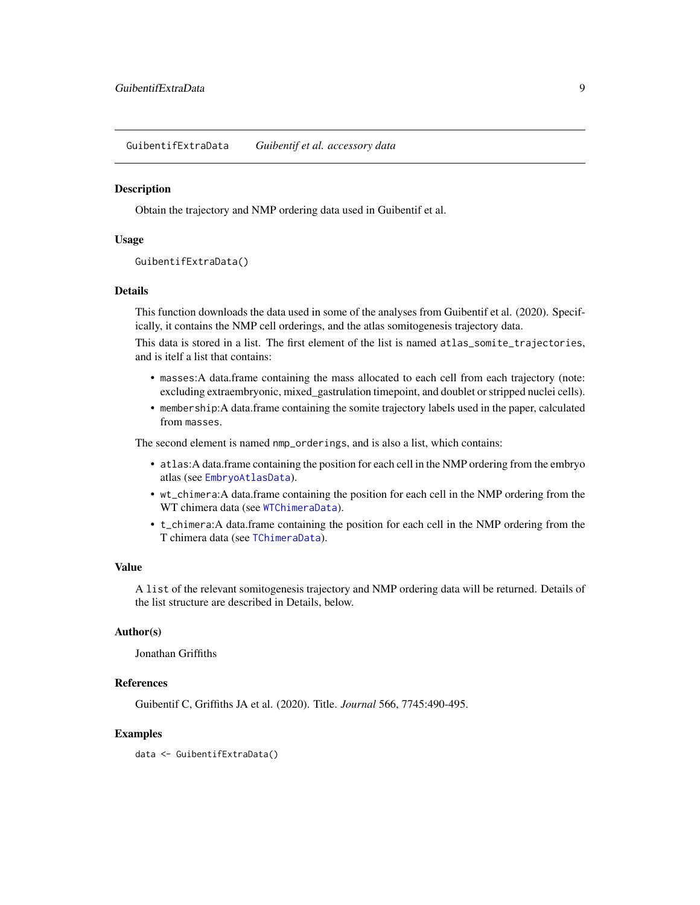<span id="page-8-0"></span>GuibentifExtraData *Guibentif et al. accessory data*

#### Description

Obtain the trajectory and NMP ordering data used in Guibentif et al.

#### Usage

```
GuibentifExtraData()
```
#### Details

This function downloads the data used in some of the analyses from Guibentif et al. (2020). Specifically, it contains the NMP cell orderings, and the atlas somitogenesis trajectory data.

This data is stored in a list. The first element of the list is named atlas\_somite\_trajectories, and is itelf a list that contains:

- masses:A data.frame containing the mass allocated to each cell from each trajectory (note: excluding extraembryonic, mixed\_gastrulation timepoint, and doublet or stripped nuclei cells).
- membership:A data.frame containing the somite trajectory labels used in the paper, calculated from masses.

The second element is named nmp\_orderings, and is also a list, which contains:

- atlas:A data.frame containing the position for each cell in the NMP ordering from the embryo atlas (see [EmbryoAtlasData](#page-5-1)).
- wt\_chimera:A data.frame containing the position for each cell in the NMP ordering from the WT chimera data (see [WTChimeraData](#page-15-1)).
- t\_chimera:A data.frame containing the position for each cell in the NMP ordering from the T chimera data (see [TChimeraData](#page-12-1)).

#### Value

A list of the relevant somitogenesis trajectory and NMP ordering data will be returned. Details of the list structure are described in Details, below.

#### Author(s)

Jonathan Griffiths

#### References

Guibentif C, Griffiths JA et al. (2020). Title. *Journal* 566, 7745:490-495.

#### Examples

data <- GuibentifExtraData()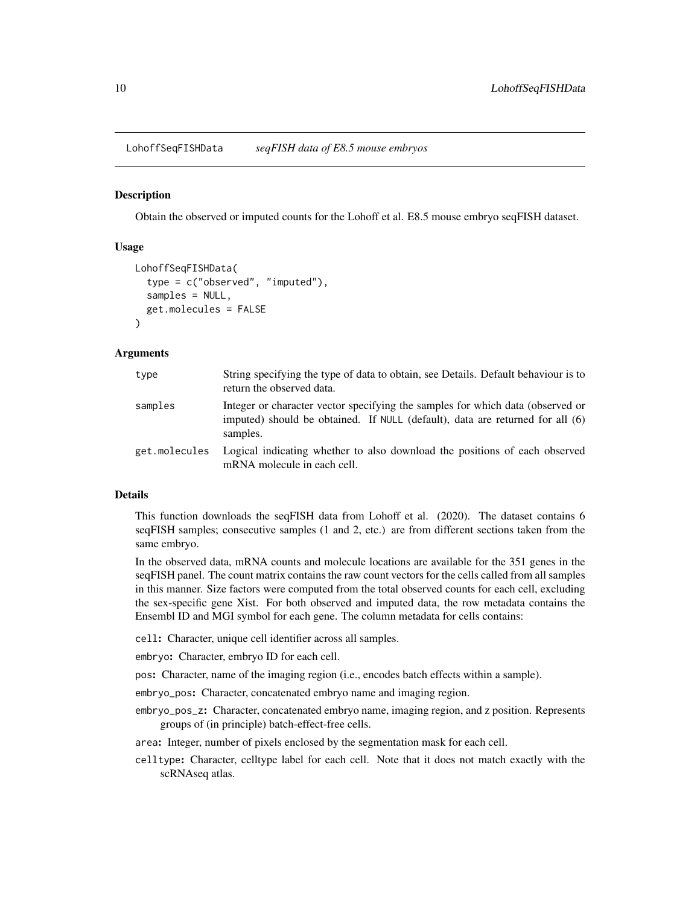<span id="page-9-0"></span>LohoffSeqFISHData *seqFISH data of E8.5 mouse embryos*

#### Description

Obtain the observed or imputed counts for the Lohoff et al. E8.5 mouse embryo seqFISH dataset.

#### Usage

```
LohoffSeqFISHData(
  type = c("observed", "imputed"),
  samples = NULL,
  get.molecules = FALSE
\lambda
```
#### Arguments

| type          | String specifying the type of data to obtain, see Details. Default behaviour is to<br>return the observed data.                                                             |
|---------------|-----------------------------------------------------------------------------------------------------------------------------------------------------------------------------|
| samples       | Integer or character vector specifying the samples for which data (observed or<br>imputed) should be obtained. If NULL (default), data are returned for all (6)<br>samples. |
| get.molecules | Logical indicating whether to also download the positions of each observed<br>mRNA molecule in each cell.                                                                   |

#### Details

This function downloads the seqFISH data from Lohoff et al. (2020). The dataset contains 6 seqFISH samples; consecutive samples (1 and 2, etc.) are from different sections taken from the same embryo.

In the observed data, mRNA counts and molecule locations are available for the 351 genes in the seqFISH panel. The count matrix contains the raw count vectors for the cells called from all samples in this manner. Size factors were computed from the total observed counts for each cell, excluding the sex-specific gene Xist. For both observed and imputed data, the row metadata contains the Ensembl ID and MGI symbol for each gene. The column metadata for cells contains:

cell: Character, unique cell identifier across all samples.

embryo: Character, embryo ID for each cell.

pos: Character, name of the imaging region (i.e., encodes batch effects within a sample).

embryo\_pos: Character, concatenated embryo name and imaging region.

embryo\_pos\_z: Character, concatenated embryo name, imaging region, and z position. Represents groups of (in principle) batch-effect-free cells.

area: Integer, number of pixels enclosed by the segmentation mask for each cell.

celltype: Character, celltype label for each cell. Note that it does not match exactly with the scRNAseq atlas.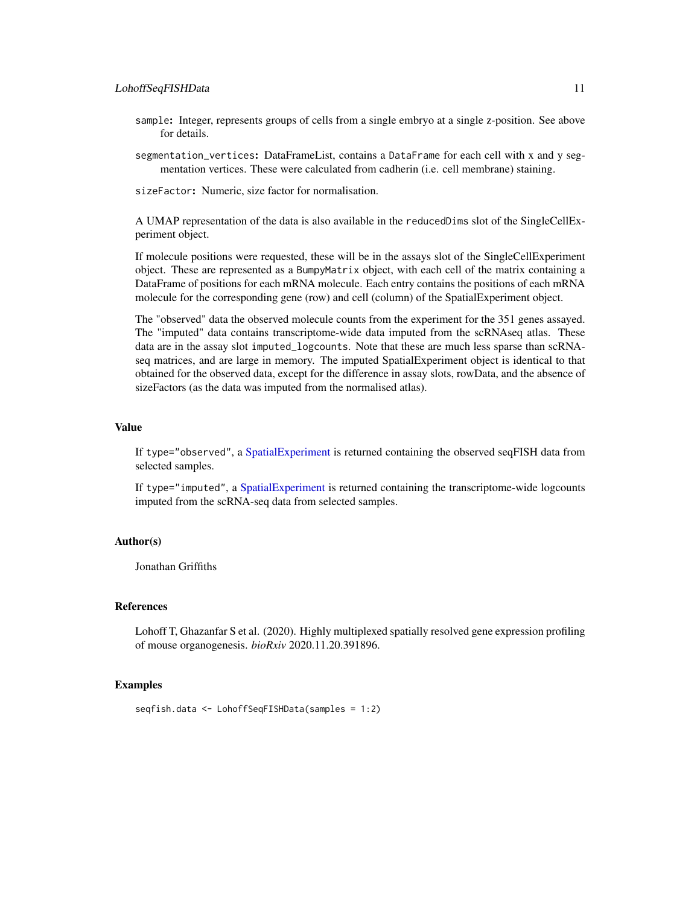- <span id="page-10-0"></span>sample: Integer, represents groups of cells from a single embryo at a single z-position. See above for details.
- segmentation\_vertices: DataFrameList, contains a DataFrame for each cell with x and y segmentation vertices. These were calculated from cadherin (i.e. cell membrane) staining.

sizeFactor: Numeric, size factor for normalisation.

A UMAP representation of the data is also available in the reducedDims slot of the SingleCellExperiment object.

If molecule positions were requested, these will be in the assays slot of the SingleCellExperiment object. These are represented as a BumpyMatrix object, with each cell of the matrix containing a DataFrame of positions for each mRNA molecule. Each entry contains the positions of each mRNA molecule for the corresponding gene (row) and cell (column) of the SpatialExperiment object.

The "observed" data the observed molecule counts from the experiment for the 351 genes assayed. The "imputed" data contains transcriptome-wide data imputed from the scRNAseq atlas. These data are in the assay slot imputed\_logcounts. Note that these are much less sparse than scRNAseq matrices, and are large in memory. The imputed SpatialExperiment object is identical to that obtained for the observed data, except for the difference in assay slots, rowData, and the absence of sizeFactors (as the data was imputed from the normalised atlas).

#### Value

If type="observed", a [SpatialExperiment](#page-0-0) is returned containing the observed seqFISH data from selected samples.

If type="imputed", a [SpatialExperiment](#page-0-0) is returned containing the transcriptome-wide logcounts imputed from the scRNA-seq data from selected samples.

#### Author(s)

Jonathan Griffiths

#### References

Lohoff T, Ghazanfar S et al. (2020). Highly multiplexed spatially resolved gene expression profiling of mouse organogenesis. *bioRxiv* 2020.11.20.391896.

#### Examples

```
seqfish.data <- LohoffSeqFISHData(samples = 1:2)
```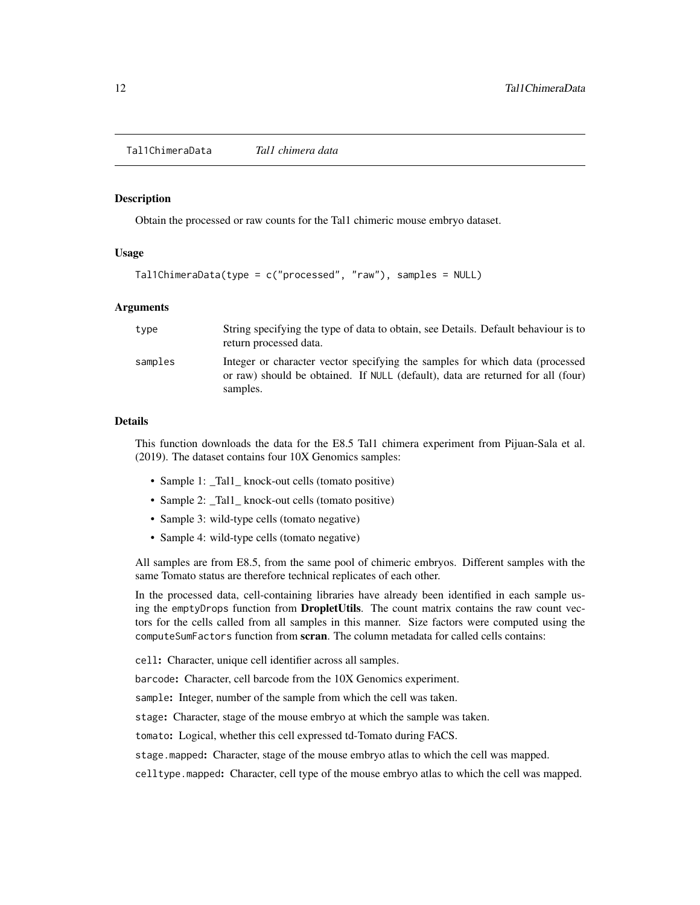<span id="page-11-0"></span>Tal1ChimeraData *Tal1 chimera data*

#### Description

Obtain the processed or raw counts for the Tal1 chimeric mouse embryo dataset.

#### Usage

```
Tal1ChimeraData(type = c("processed", "raw"), samples = NULL)
```
#### Arguments

| type    | String specifying the type of data to obtain, see Details. Default behaviour is to<br>return processed data.                                                                 |
|---------|------------------------------------------------------------------------------------------------------------------------------------------------------------------------------|
| samples | Integer or character vector specifying the samples for which data (processed)<br>or raw) should be obtained. If NULL (default), data are returned for all (four)<br>samples. |

#### Details

This function downloads the data for the E8.5 Tal1 chimera experiment from Pijuan-Sala et al. (2019). The dataset contains four 10X Genomics samples:

- Sample 1: \_Tal1\_ knock-out cells (tomato positive)
- Sample 2: \_Tal1\_ knock-out cells (tomato positive)
- Sample 3: wild-type cells (tomato negative)
- Sample 4: wild-type cells (tomato negative)

All samples are from E8.5, from the same pool of chimeric embryos. Different samples with the same Tomato status are therefore technical replicates of each other.

In the processed data, cell-containing libraries have already been identified in each sample using the emptyDrops function from **DropletUtils**. The count matrix contains the raw count vectors for the cells called from all samples in this manner. Size factors were computed using the computeSumFactors function from scran. The column metadata for called cells contains:

cell: Character, unique cell identifier across all samples.

barcode: Character, cell barcode from the 10X Genomics experiment.

sample: Integer, number of the sample from which the cell was taken.

stage: Character, stage of the mouse embryo at which the sample was taken.

tomato: Logical, whether this cell expressed td-Tomato during FACS.

stage.mapped: Character, stage of the mouse embryo atlas to which the cell was mapped.

celltype.mapped: Character, cell type of the mouse embryo atlas to which the cell was mapped.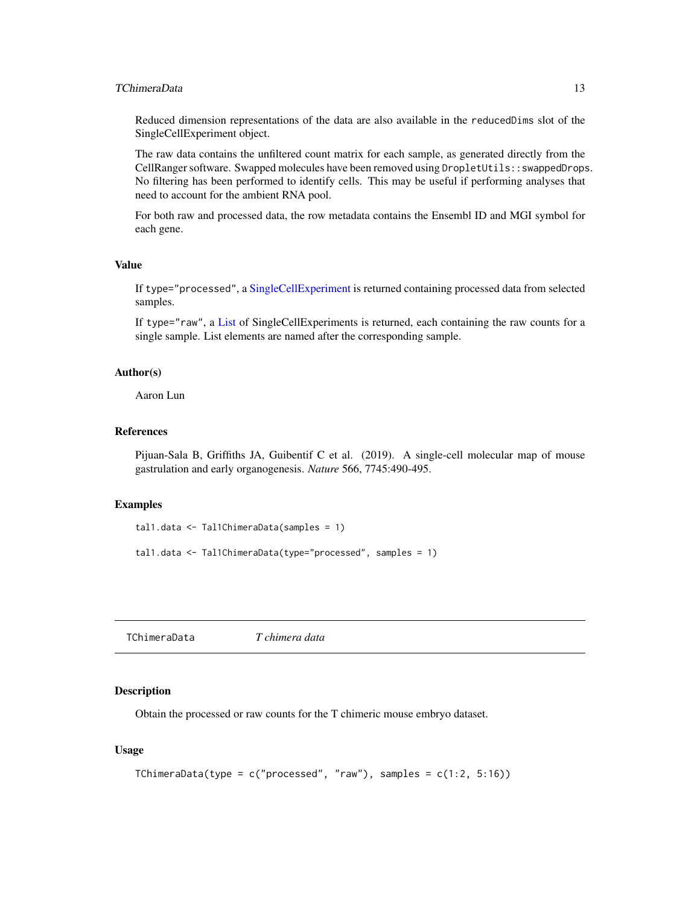#### <span id="page-12-0"></span>TChimeraData 13

Reduced dimension representations of the data are also available in the reducedDims slot of the SingleCellExperiment object.

The raw data contains the unfiltered count matrix for each sample, as generated directly from the CellRanger software. Swapped molecules have been removed using DropletUtils::swappedDrops. No filtering has been performed to identify cells. This may be useful if performing analyses that need to account for the ambient RNA pool.

For both raw and processed data, the row metadata contains the Ensembl ID and MGI symbol for each gene.

#### Value

If type="processed", a [SingleCellExperiment](#page-0-0) is returned containing processed data from selected samples.

If type="raw", a [List](#page-0-0) of SingleCellExperiments is returned, each containing the raw counts for a single sample. List elements are named after the corresponding sample.

#### Author(s)

Aaron Lun

#### References

Pijuan-Sala B, Griffiths JA, Guibentif C et al. (2019). A single-cell molecular map of mouse gastrulation and early organogenesis. *Nature* 566, 7745:490-495.

#### Examples

```
tal1.data <- Tal1ChimeraData(samples = 1)
tal1.data <- Tal1ChimeraData(type="processed", samples = 1)
```
<span id="page-12-1"></span>TChimeraData *T chimera data*

#### Description

Obtain the processed or raw counts for the T chimeric mouse embryo dataset.

#### Usage

```
TChimeraData(type = c("processed", "raw"), samples = <math>c(1:2, 5:16)</math>)
```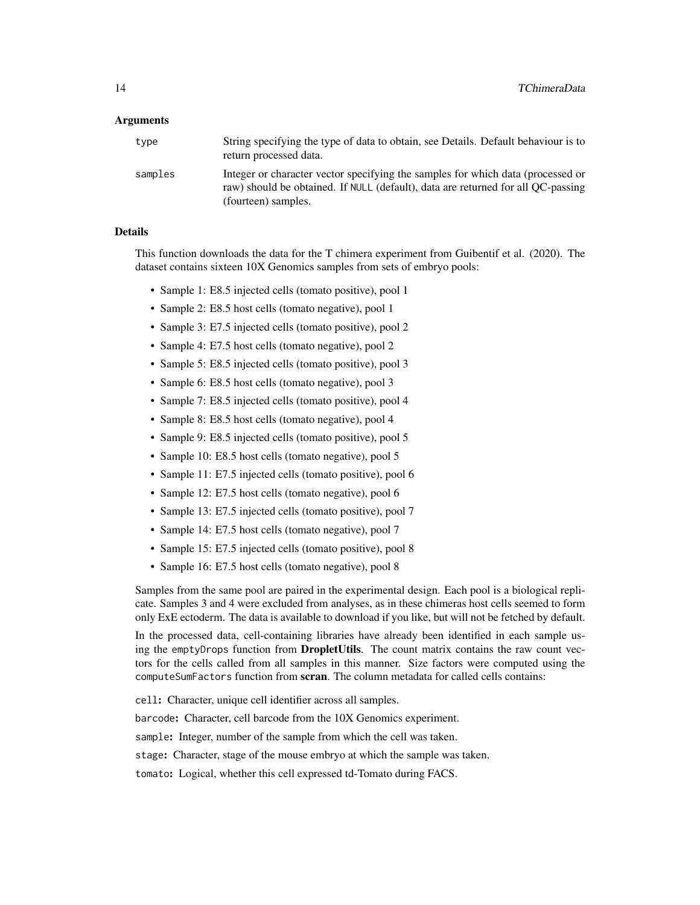#### Arguments

| type    | String specifying the type of data to obtain, see Details. Default behaviour is to<br>return processed data.                                                                               |
|---------|--------------------------------------------------------------------------------------------------------------------------------------------------------------------------------------------|
| samples | Integer or character vector specifying the samples for which data (processed or<br>raw) should be obtained. If NULL (default), data are returned for all QC-passing<br>(fourteen) samples. |

#### Details

This function downloads the data for the T chimera experiment from Guibentif et al. (2020). The dataset contains sixteen 10X Genomics samples from sets of embryo pools:

- Sample 1: E8.5 injected cells (tomato positive), pool 1
- Sample 2: E8.5 host cells (tomato negative), pool 1
- Sample 3: E7.5 injected cells (tomato positive), pool 2
- Sample 4: E7.5 host cells (tomato negative), pool 2
- Sample 5: E8.5 injected cells (tomato positive), pool 3
- Sample 6: E8.5 host cells (tomato negative), pool 3
- Sample 7: E8.5 injected cells (tomato positive), pool 4
- Sample 8: E8.5 host cells (tomato negative), pool 4
- Sample 9: E8.5 injected cells (tomato positive), pool 5
- Sample 10: E8.5 host cells (tomato negative), pool 5
- Sample 11: E7.5 injected cells (tomato positive), pool 6
- Sample 12: E7.5 host cells (tomato negative), pool 6
- Sample 13: E7.5 injected cells (tomato positive), pool 7
- Sample 14: E7.5 host cells (tomato negative), pool 7
- Sample 15: E7.5 injected cells (tomato positive), pool 8
- Sample 16: E7.5 host cells (tomato negative), pool 8

Samples from the same pool are paired in the experimental design. Each pool is a biological replicate. Samples 3 and 4 were excluded from analyses, as in these chimeras host cells seemed to form only ExE ectoderm. The data is available to download if you like, but will not be fetched by default.

In the processed data, cell-containing libraries have already been identified in each sample using the emptyDrops function from **DropletUtils**. The count matrix contains the raw count vectors for the cells called from all samples in this manner. Size factors were computed using the computeSumFactors function from scran. The column metadata for called cells contains:

cell: Character, unique cell identifier across all samples.

barcode: Character, cell barcode from the 10X Genomics experiment.

sample: Integer, number of the sample from which the cell was taken.

stage: Character, stage of the mouse embryo at which the sample was taken.

tomato: Logical, whether this cell expressed td-Tomato during FACS.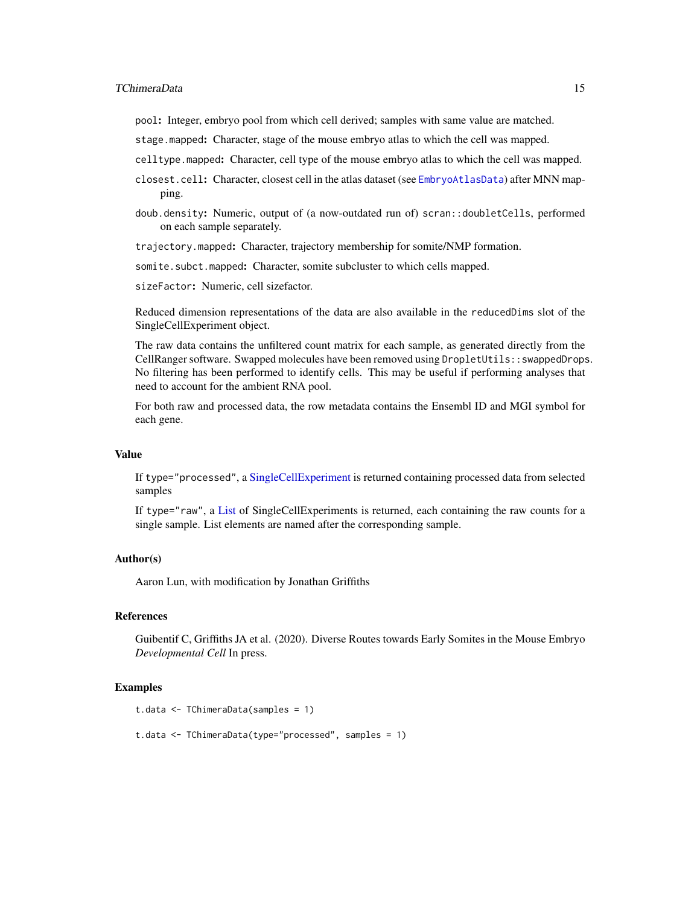#### <span id="page-14-0"></span>TChimeraData 15

pool: Integer, embryo pool from which cell derived; samples with same value are matched.

- stage.mapped: Character, stage of the mouse embryo atlas to which the cell was mapped.
- celltype.mapped: Character, cell type of the mouse embryo atlas to which the cell was mapped.
- closest.cell: Character, closest cell in the atlas dataset (see [EmbryoAtlasData](#page-5-1)) after MNN mapping.
- doub.density: Numeric, output of (a now-outdated run of) scran::doubletCells, performed on each sample separately.

trajectory.mapped: Character, trajectory membership for somite/NMP formation.

somite.subct.mapped: Character, somite subcluster to which cells mapped.

sizeFactor: Numeric, cell sizefactor.

Reduced dimension representations of the data are also available in the reducedDims slot of the SingleCellExperiment object.

The raw data contains the unfiltered count matrix for each sample, as generated directly from the CellRanger software. Swapped molecules have been removed using DropletUtils::swappedDrops. No filtering has been performed to identify cells. This may be useful if performing analyses that need to account for the ambient RNA pool.

For both raw and processed data, the row metadata contains the Ensembl ID and MGI symbol for each gene.

#### Value

If type="processed", a [SingleCellExperiment](#page-0-0) is returned containing processed data from selected samples

If type="raw", a [List](#page-0-0) of SingleCellExperiments is returned, each containing the raw counts for a single sample. List elements are named after the corresponding sample.

#### Author(s)

Aaron Lun, with modification by Jonathan Griffiths

#### References

Guibentif C, Griffiths JA et al. (2020). Diverse Routes towards Early Somites in the Mouse Embryo *Developmental Cell* In press.

#### Examples

```
t.data <- TChimeraData(samples = 1)
```
t.data <- TChimeraData(type="processed", samples = 1)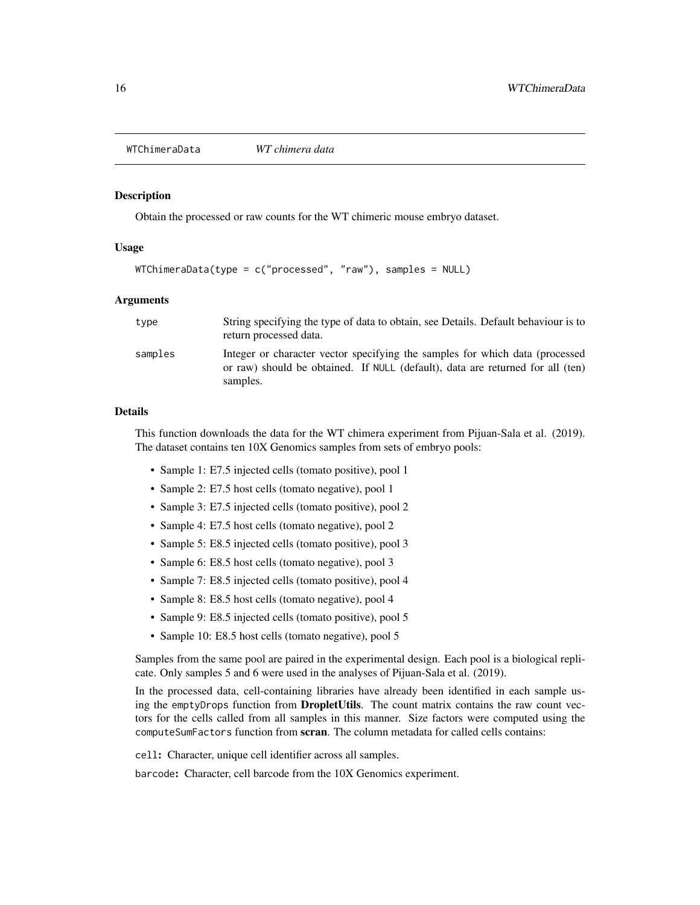<span id="page-15-1"></span><span id="page-15-0"></span>WTChimeraData *WT chimera data*

#### Description

Obtain the processed or raw counts for the WT chimeric mouse embryo dataset.

#### Usage

```
WTChimeraData(type = c("processed", "raw"), samples = NULL)
```
#### Arguments

| type    | String specifying the type of data to obtain, see Details. Default behaviour is to<br>return processed data.                                                                |
|---------|-----------------------------------------------------------------------------------------------------------------------------------------------------------------------------|
| samples | Integer or character vector specifying the samples for which data (processed)<br>or raw) should be obtained. If NULL (default), data are returned for all (ten)<br>samples. |

#### Details

This function downloads the data for the WT chimera experiment from Pijuan-Sala et al. (2019). The dataset contains ten 10X Genomics samples from sets of embryo pools:

- Sample 1: E7.5 injected cells (tomato positive), pool 1
- Sample 2: E7.5 host cells (tomato negative), pool 1
- Sample 3: E7.5 injected cells (tomato positive), pool 2
- Sample 4: E7.5 host cells (tomato negative), pool 2
- Sample 5: E8.5 injected cells (tomato positive), pool 3
- Sample 6: E8.5 host cells (tomato negative), pool 3
- Sample 7: E8.5 injected cells (tomato positive), pool 4
- Sample 8: E8.5 host cells (tomato negative), pool 4
- Sample 9: E8.5 injected cells (tomato positive), pool 5
- Sample 10: E8.5 host cells (tomato negative), pool 5

Samples from the same pool are paired in the experimental design. Each pool is a biological replicate. Only samples 5 and 6 were used in the analyses of Pijuan-Sala et al. (2019).

In the processed data, cell-containing libraries have already been identified in each sample using the emptyDrops function from **DropletUtils**. The count matrix contains the raw count vectors for the cells called from all samples in this manner. Size factors were computed using the computeSumFactors function from scran. The column metadata for called cells contains:

cell: Character, unique cell identifier across all samples.

barcode: Character, cell barcode from the 10X Genomics experiment.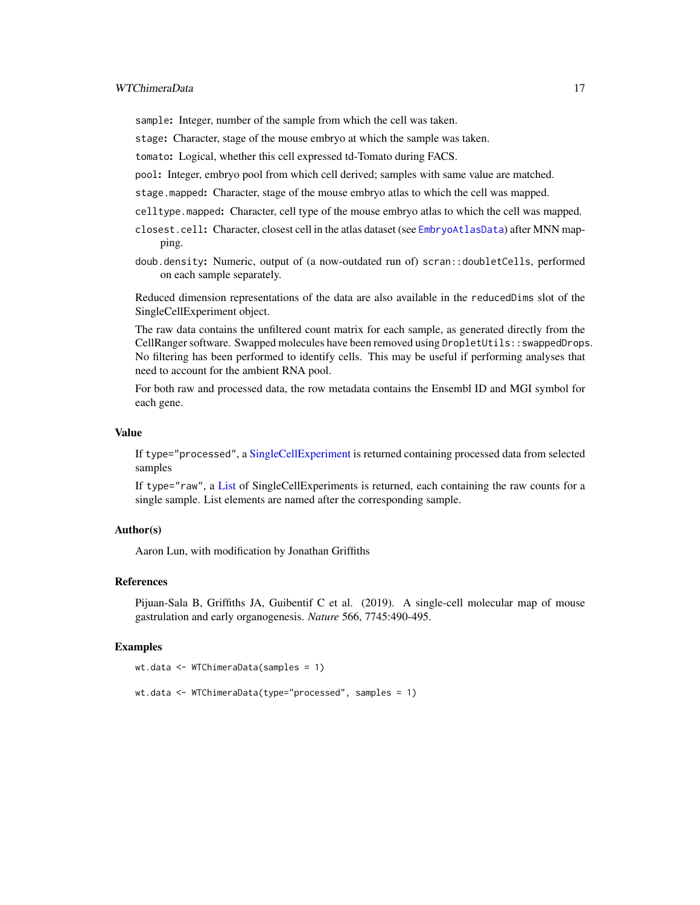<span id="page-16-0"></span>sample: Integer, number of the sample from which the cell was taken.

stage: Character, stage of the mouse embryo at which the sample was taken.

tomato: Logical, whether this cell expressed td-Tomato during FACS.

pool: Integer, embryo pool from which cell derived; samples with same value are matched.

stage.mapped: Character, stage of the mouse embryo atlas to which the cell was mapped.

celltype.mapped: Character, cell type of the mouse embryo atlas to which the cell was mapped.

- closest.cell: Character, closest cell in the atlas dataset (see [EmbryoAtlasData](#page-5-1)) after MNN mapping.
- doub.density: Numeric, output of (a now-outdated run of) scran::doubletCells, performed on each sample separately.

Reduced dimension representations of the data are also available in the reducedDims slot of the SingleCellExperiment object.

The raw data contains the unfiltered count matrix for each sample, as generated directly from the CellRanger software. Swapped molecules have been removed using DropletUtils::swappedDrops. No filtering has been performed to identify cells. This may be useful if performing analyses that need to account for the ambient RNA pool.

For both raw and processed data, the row metadata contains the Ensembl ID and MGI symbol for each gene.

#### Value

If type="processed", a [SingleCellExperiment](#page-0-0) is returned containing processed data from selected samples

If type="raw", a [List](#page-0-0) of SingleCellExperiments is returned, each containing the raw counts for a single sample. List elements are named after the corresponding sample.

#### Author(s)

Aaron Lun, with modification by Jonathan Griffiths

#### References

Pijuan-Sala B, Griffiths JA, Guibentif C et al. (2019). A single-cell molecular map of mouse gastrulation and early organogenesis. *Nature* 566, 7745:490-495.

#### Examples

```
wt.data <- WTChimeraData(samples = 1)
```

```
wt.data <- WTChimeraData(type="processed", samples = 1)
```